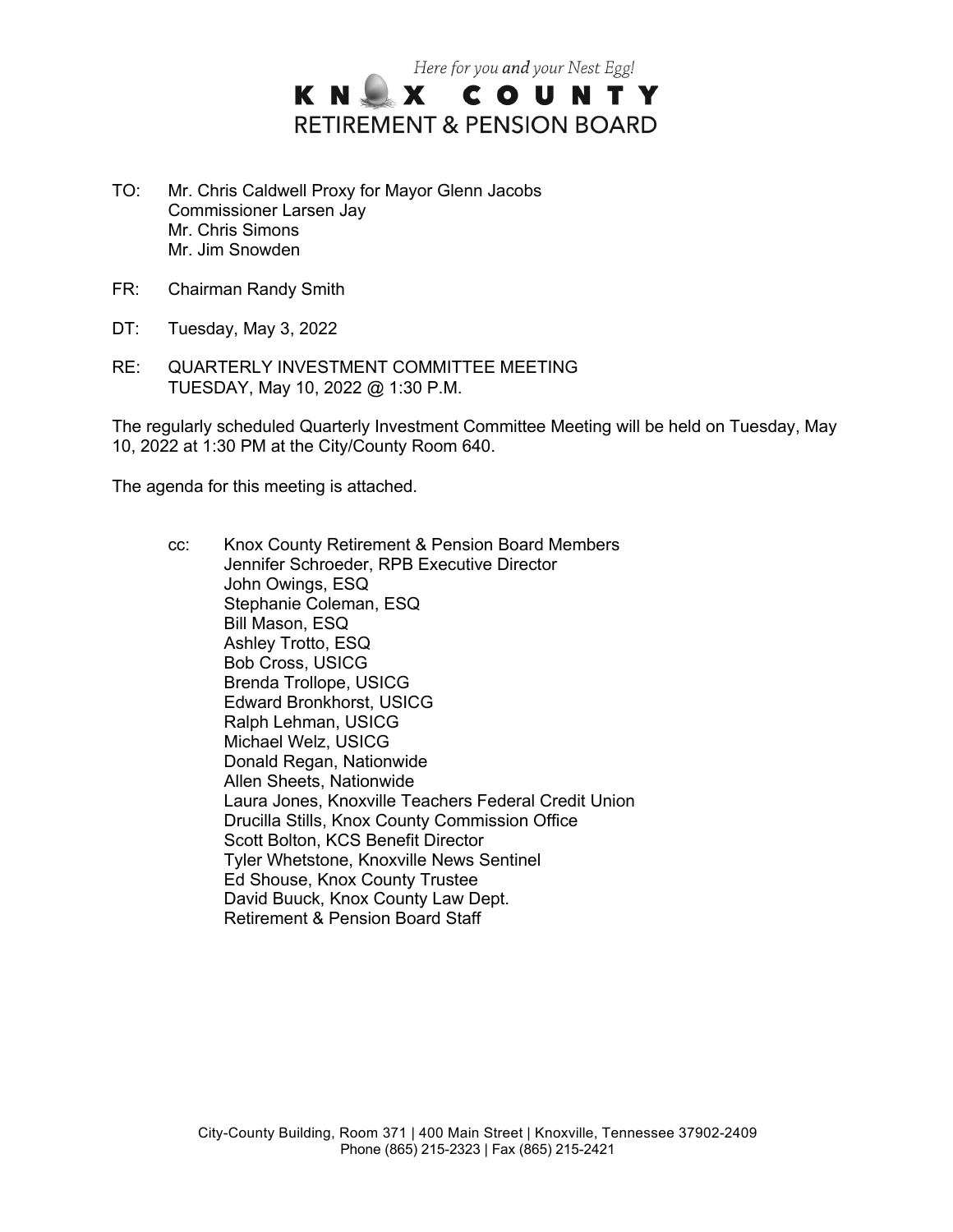

- TO: Mr. Chris Caldwell Proxy for Mayor Glenn Jacobs Commissioner Larsen Jay Mr. Chris Simons Mr. Jim Snowden
- FR: Chairman Randy Smith
- DT: Tuesday, May 3, 2022
- RE: QUARTERLY INVESTMENT COMMITTEE MEETING TUESDAY, May 10, 2022 @ 1:30 P.M.

The regularly scheduled Quarterly Investment Committee Meeting will be held on Tuesday, May 10, 2022 at 1:30 PM at the City/County Room 640.

The agenda for this meeting is attached.

cc: Knox County Retirement & Pension Board Members Jennifer Schroeder, RPB Executive Director John Owings, ESQ Stephanie Coleman, ESQ Bill Mason, ESQ Ashley Trotto, ESQ Bob Cross, USICG Brenda Trollope, USICG Edward Bronkhorst, USICG Ralph Lehman, USICG Michael Welz, USICG Donald Regan, Nationwide Allen Sheets, Nationwide Laura Jones, Knoxville Teachers Federal Credit Union Drucilla Stills, Knox County Commission Office Scott Bolton, KCS Benefit Director Tyler Whetstone, Knoxville News Sentinel Ed Shouse, Knox County Trustee David Buuck, Knox County Law Dept. Retirement & Pension Board Staff